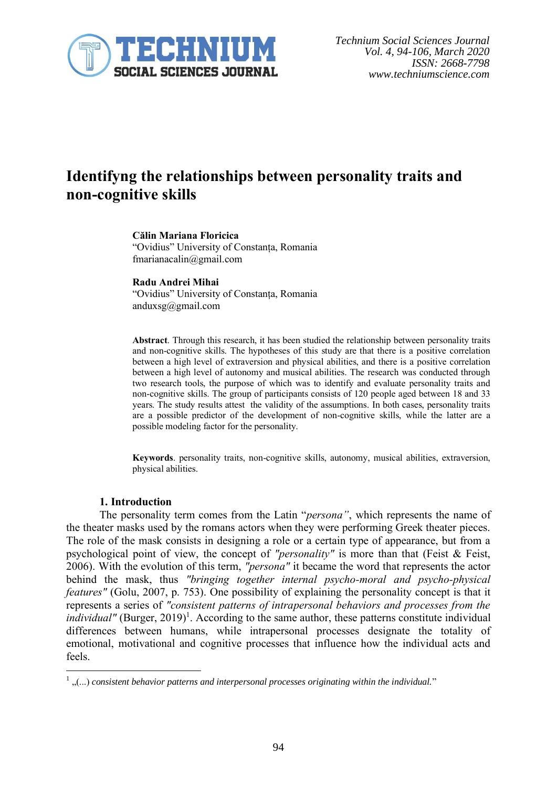

# **Identifyng the relationships between personality traits and non-cognitive skills**

#### **Călin Mariana Floricica**

"Ovidius" University of Constanța, Romania fmarianacalin@gmail.com

**Radu Andrei Mihai** "Ovidius" University of Constanța, Romania anduxsg@gmail.com

**Abstract**. Through this research, it has been studied the relationship between personality traits and non-cognitive skills. The hypotheses of this study are that there is a positive correlation between a high level of extraversion and physical abilities, and there is a positive correlation between a high level of autonomy and musical abilities. The research was conducted through two research tools, the purpose of which was to identify and evaluate personality traits and non-cognitive skills. The group of participants consists of 120 people aged between 18 and 33 years. The study results attest the validity of the assumptions. In both cases, personality traits are a possible predictor of the development of non-cognitive skills, while the latter are a possible modeling factor for the personality.

**Keywords**. personality traits, non-cognitive skills, autonomy, musical abilities, extraversion, physical abilities.

#### **1. Introduction**

The personality term comes from the Latin "*persona"*, which represents the name of the theater masks used by the romans actors when they were performing Greek theater pieces. The role of the mask consists in designing a role or a certain type of appearance, but from a psychological point of view, the concept of *"personality"* is more than that (Feist & Feist, 2006). With the evolution of this term, *"persona"* it became the word that represents the actor behind the mask, thus *"bringing together internal psycho-moral and psycho-physical features"* (Golu, 2007, p. 753). One possibility of explaining the personality concept is that it represents a series of *"consistent patterns of intrapersonal behaviors and processes from the*  individual" (Burger, 2019)<sup>1</sup>. According to the same author, these patterns constitute individual differences between humans, while intrapersonal processes designate the totality of emotional, motivational and cognitive processes that influence how the individual acts and feels.

<sup>1</sup> "(...) *consistent behavior patterns and interpersonal processes originating within the individual.*"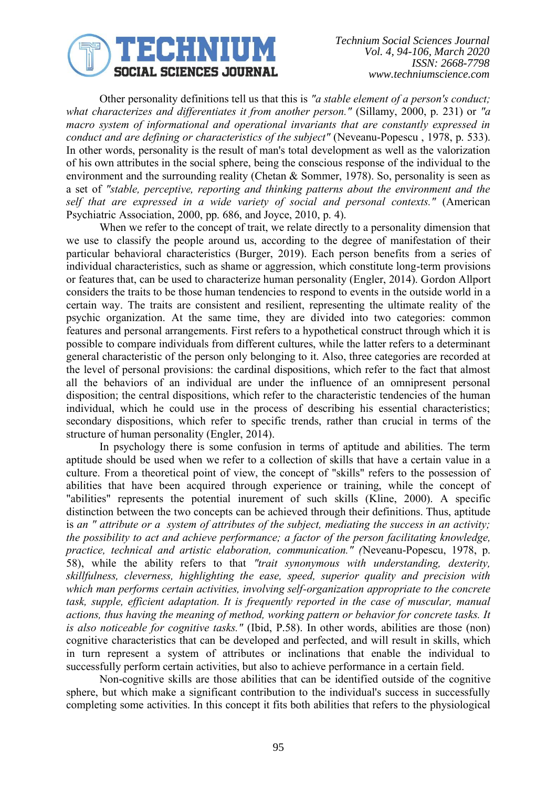

Other personality definitions tell us that this is *"a stable element of a person's conduct; what characterizes and differentiates it from another person."* (Sillamy, 2000, p. 231) or *"a macro system of informational and operational invariants that are constantly expressed in conduct and are defining or characteristics of the subject"* (Neveanu-Popescu , 1978, p. 533). In other words, personality is the result of man's total development as well as the valorization of his own attributes in the social sphere, being the conscious response of the individual to the environment and the surrounding reality (Chetan & Sommer, 1978). So, personality is seen as a set of *"stable, perceptive, reporting and thinking patterns about the environment and the self that are expressed in a wide variety of social and personal contexts."* (American Psychiatric Association, 2000, pp. 686, and Joyce, 2010, p. 4).

When we refer to the concept of trait, we relate directly to a personality dimension that we use to classify the people around us, according to the degree of manifestation of their particular behavioral characteristics (Burger, 2019). Each person benefits from a series of individual characteristics, such as shame or aggression, which constitute long-term provisions or features that, can be used to characterize human personality (Engler, 2014). Gordon Allport considers the traits to be those human tendencies to respond to events in the outside world in a certain way. The traits are consistent and resilient, representing the ultimate reality of the psychic organization. At the same time, they are divided into two categories: common features and personal arrangements. First refers to a hypothetical construct through which it is possible to compare individuals from different cultures, while the latter refers to a determinant general characteristic of the person only belonging to it. Also, three categories are recorded at the level of personal provisions: the cardinal dispositions, which refer to the fact that almost all the behaviors of an individual are under the influence of an omnipresent personal disposition; the central dispositions, which refer to the characteristic tendencies of the human individual, which he could use in the process of describing his essential characteristics; secondary dispositions, which refer to specific trends, rather than crucial in terms of the structure of human personality (Engler, 2014).

In psychology there is some confusion in terms of aptitude and abilities. The term aptitude should be used when we refer to a collection of skills that have a certain value in a culture. From a theoretical point of view, the concept of "skills" refers to the possession of abilities that have been acquired through experience or training, while the concept of "abilities" represents the potential inurement of such skills (Kline, 2000). A specific distinction between the two concepts can be achieved through their definitions. Thus, aptitude is *an " attribute or a system of attributes of the subject, mediating the success in an activity; the possibility to act and achieve performance; a factor of the person facilitating knowledge, practice, technical and artistic elaboration, communication." (*Neveanu-Popescu, 1978, p. 58), while the ability refers to that *"trait synonymous with understanding, dexterity, skillfulness, cleverness, highlighting the ease, speed, superior quality and precision with which man performs certain activities, involving self-organization appropriate to the concrete task, supple, efficient adaptation. It is frequently reported in the case of muscular, manual actions, thus having the meaning of method, working pattern or behavior for concrete tasks. It is also noticeable for cognitive tasks."* (Ibid, P.58). In other words, abilities are those (non) cognitive characteristics that can be developed and perfected, and will result in skills, which in turn represent a system of attributes or inclinations that enable the individual to successfully perform certain activities, but also to achieve performance in a certain field.

Non-cognitive skills are those abilities that can be identified outside of the cognitive sphere, but which make a significant contribution to the individual's success in successfully completing some activities. In this concept it fits both abilities that refers to the physiological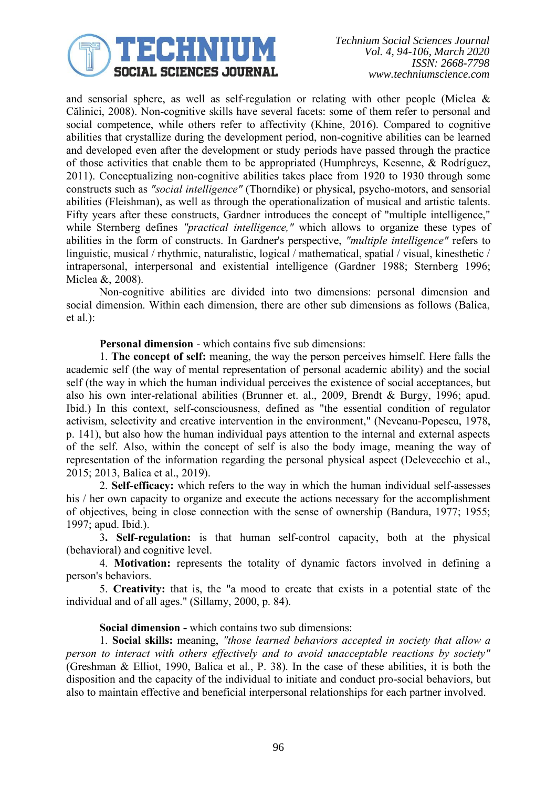

and sensorial sphere, as well as self-regulation or relating with other people (Miclea & Călinici, 2008). Non-cognitive skills have several facets: some of them refer to personal and social competence, while others refer to affectivity (Khine, 2016). Compared to cognitive abilities that crystallize during the development period, non-cognitive abilities can be learned and developed even after the development or study periods have passed through the practice of those activities that enable them to be appropriated (Humphreys, Kesenne, & Rodríguez, 2011). Conceptualizing non-cognitive abilities takes place from 1920 to 1930 through some constructs such as *"social intelligence"* (Thorndike) or physical, psycho-motors, and sensorial abilities (Fleishman), as well as through the operationalization of musical and artistic talents. Fifty years after these constructs, Gardner introduces the concept of "multiple intelligence," while Sternberg defines *"practical intelligence,"* which allows to organize these types of abilities in the form of constructs. In Gardner's perspective, *"multiple intelligence"* refers to linguistic, musical / rhythmic, naturalistic, logical / mathematical, spatial / visual, kinesthetic / intrapersonal, interpersonal and existential intelligence (Gardner 1988; Sternberg 1996; Miclea &, 2008).

Non-cognitive abilities are divided into two dimensions: personal dimension and social dimension. Within each dimension, there are other sub dimensions as follows (Balica, et al.):

**Personal dimension** - which contains five sub dimensions:

1. **The concept of self:** meaning, the way the person perceives himself. Here falls the academic self (the way of mental representation of personal academic ability) and the social self (the way in which the human individual perceives the existence of social acceptances, but also his own inter-relational abilities (Brunner et. al., 2009, Brendt & Burgy, 1996; apud. Ibid.) In this context, self-consciousness, defined as "the essential condition of regulator activism, selectivity and creative intervention in the environment," (Neveanu-Popescu, 1978, p. 141), but also how the human individual pays attention to the internal and external aspects of the self. Also, within the concept of self is also the body image, meaning the way of representation of the information regarding the personal physical aspect (Delevecchio et al., 2015; 2013, Balica et al., 2019).

2. **Self-efficacy:** which refers to the way in which the human individual self-assesses his / her own capacity to organize and execute the actions necessary for the accomplishment of objectives, being in close connection with the sense of ownership (Bandura, 1977; 1955; 1997; apud. Ibid.).

3**. Self-regulation:** is that human self-control capacity, both at the physical (behavioral) and cognitive level.

4. **Motivation:** represents the totality of dynamic factors involved in defining a person's behaviors.

5. **Creativity:** that is, the "a mood to create that exists in a potential state of the individual and of all ages." (Sillamy, 2000, p. 84).

# **Social dimension -** which contains two sub dimensions:

1. **Social skills:** meaning, *"those learned behaviors accepted in society that allow a person to interact with others effectively and to avoid unacceptable reactions by society"* (Greshman & Elliot, 1990, Balica et al., P. 38). In the case of these abilities, it is both the disposition and the capacity of the individual to initiate and conduct pro-social behaviors, but also to maintain effective and beneficial interpersonal relationships for each partner involved.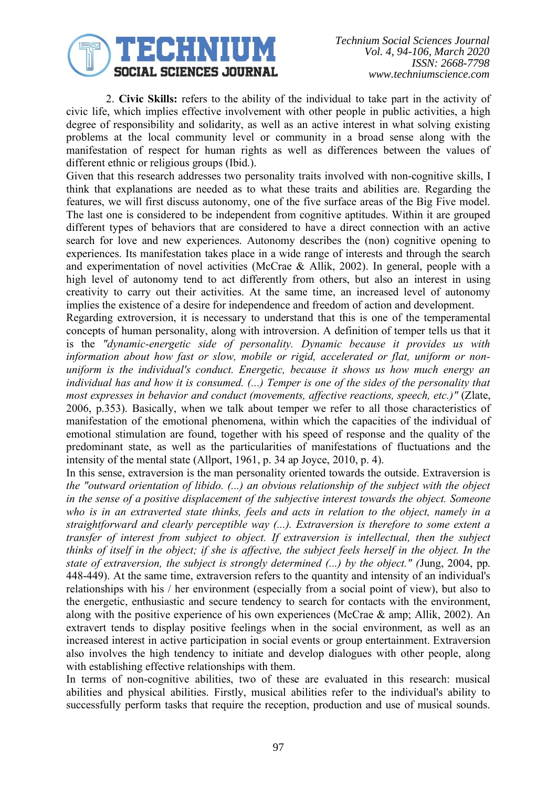

*Technium Social Sciences Journal Vol. 4, 94-106, March 2020 ISSN: 2668-7798 www.techniumscience.com*

2. **Civic Skills:** refers to the ability of the individual to take part in the activity of civic life, which implies effective involvement with other people in public activities, a high degree of responsibility and solidarity, as well as an active interest in what solving existing problems at the local community level or community in a broad sense along with the manifestation of respect for human rights as well as differences between the values of different ethnic or religious groups (Ibid.).

Given that this research addresses two personality traits involved with non-cognitive skills, I think that explanations are needed as to what these traits and abilities are. Regarding the features, we will first discuss autonomy, one of the five surface areas of the Big Five model. The last one is considered to be independent from cognitive aptitudes. Within it are grouped different types of behaviors that are considered to have a direct connection with an active search for love and new experiences. Autonomy describes the (non) cognitive opening to experiences. Its manifestation takes place in a wide range of interests and through the search and experimentation of novel activities (McCrae & Allik, 2002). In general, people with a high level of autonomy tend to act differently from others, but also an interest in using creativity to carry out their activities. At the same time, an increased level of autonomy implies the existence of a desire for independence and freedom of action and development.

Regarding extroversion, it is necessary to understand that this is one of the temperamental concepts of human personality, along with introversion. A definition of temper tells us that it is the *"dynamic-energetic side of personality. Dynamic because it provides us with information about how fast or slow, mobile or rigid, accelerated or flat, uniform or nonuniform is the individual's conduct. Energetic, because it shows us how much energy an individual has and how it is consumed. (...) Temper is one of the sides of the personality that most expresses in behavior and conduct (movements, affective reactions, speech, etc.)"* (Zlate, 2006, p.353). Basically, when we talk about temper we refer to all those characteristics of manifestation of the emotional phenomena, within which the capacities of the individual of emotional stimulation are found, together with his speed of response and the quality of the predominant state, as well as the particularities of manifestations of fluctuations and the intensity of the mental state (Allport, 1961, p. 34 ap Joyce, 2010, p. 4).

In this sense, extraversion is the man personality oriented towards the outside. Extraversion is *the "outward orientation of libido. (...) an obvious relationship of the subject with the object in the sense of a positive displacement of the subjective interest towards the object. Someone who is in an extraverted state thinks, feels and acts in relation to the object, namely in a straightforward and clearly perceptible way (...). Extraversion is therefore to some extent a transfer of interest from subject to object. If extraversion is intellectual, then the subject thinks of itself in the object; if she is affective, the subject feels herself in the object. In the state of extraversion, the subject is strongly determined (...) by the object." (*Jung, 2004, pp. 448-449). At the same time, extraversion refers to the quantity and intensity of an individual's relationships with his / her environment (especially from a social point of view), but also to the energetic, enthusiastic and secure tendency to search for contacts with the environment, along with the positive experience of his own experiences (McCrae & amp; Allik, 2002). An extravert tends to display positive feelings when in the social environment, as well as an increased interest in active participation in social events or group entertainment. Extraversion also involves the high tendency to initiate and develop dialogues with other people, along with establishing effective relationships with them.

In terms of non-cognitive abilities, two of these are evaluated in this research: musical abilities and physical abilities. Firstly, musical abilities refer to the individual's ability to successfully perform tasks that require the reception, production and use of musical sounds.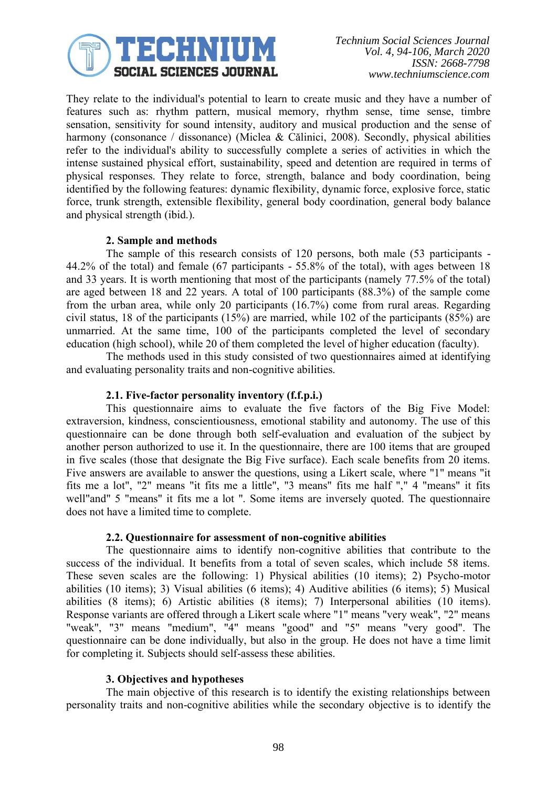

They relate to the individual's potential to learn to create music and they have a number of features such as: rhythm pattern, musical memory, rhythm sense, time sense, timbre sensation, sensitivity for sound intensity, auditory and musical production and the sense of harmony (consonance / dissonance) (Miclea & Călinici, 2008). Secondly, physical abilities refer to the individual's ability to successfully complete a series of activities in which the intense sustained physical effort, sustainability, speed and detention are required in terms of physical responses. They relate to force, strength, balance and body coordination, being identified by the following features: dynamic flexibility, dynamic force, explosive force, static force, trunk strength, extensible flexibility, general body coordination, general body balance and physical strength (ibid.).

# **2. Sample and methods**

The sample of this research consists of 120 persons, both male (53 participants - 44.2% of the total) and female (67 participants - 55.8% of the total), with ages between 18 and 33 years. It is worth mentioning that most of the participants (namely 77.5% of the total) are aged between 18 and 22 years. A total of 100 participants (88.3%) of the sample come from the urban area, while only 20 participants (16.7%) come from rural areas. Regarding civil status, 18 of the participants (15%) are married, while 102 of the participants (85%) are unmarried. At the same time, 100 of the participants completed the level of secondary education (high school), while 20 of them completed the level of higher education (faculty).

The methods used in this study consisted of two questionnaires aimed at identifying and evaluating personality traits and non-cognitive abilities.

## **2.1. Five-factor personality inventory (f.f.p.i.)**

This questionnaire aims to evaluate the five factors of the Big Five Model: extraversion, kindness, conscientiousness, emotional stability and autonomy. The use of this questionnaire can be done through both self-evaluation and evaluation of the subject by another person authorized to use it. In the questionnaire, there are 100 items that are grouped in five scales (those that designate the Big Five surface). Each scale benefits from 20 items. Five answers are available to answer the questions, using a Likert scale, where "1" means "it fits me a lot", "2" means "it fits me a little", "3 means" fits me half "," 4 "means" it fits well"and" 5 "means" it fits me a lot ". Some items are inversely quoted. The questionnaire does not have a limited time to complete.

## **2.2. Questionnaire for assessment of non-cognitive abilities**

The questionnaire aims to identify non-cognitive abilities that contribute to the success of the individual. It benefits from a total of seven scales, which include 58 items. These seven scales are the following: 1) Physical abilities (10 items); 2) Psycho-motor abilities (10 items); 3) Visual abilities (6 items); 4) Auditive abilities (6 items); 5) Musical abilities (8 items); 6) Artistic abilities (8 items); 7) Interpersonal abilities (10 items). Response variants are offered through a Likert scale where "1" means "very weak", "2" means "weak", "3" means "medium", "4" means "good" and "5" means "very good". The questionnaire can be done individually, but also in the group. He does not have a time limit for completing it. Subjects should self-assess these abilities.

## **3. Objectives and hypotheses**

The main objective of this research is to identify the existing relationships between personality traits and non-cognitive abilities while the secondary objective is to identify the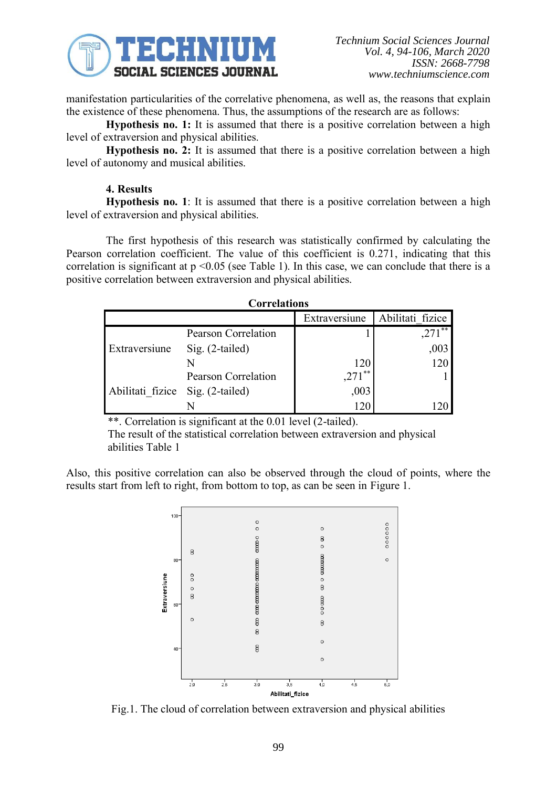

manifestation particularities of the correlative phenomena, as well as, the reasons that explain the existence of these phenomena. Thus, the assumptions of the research are as follows:

**Hypothesis no. 1:** It is assumed that there is a positive correlation between a high level of extraversion and physical abilities.

**Hypothesis no. 2:** It is assumed that there is a positive correlation between a high level of autonomy and musical abilities.

# **4. Results**

**Hypothesis no. 1**: It is assumed that there is a positive correlation between a high level of extraversion and physical abilities.

The first hypothesis of this research was statistically confirmed by calculating the Pearson correlation coefficient. The value of this coefficient is 0.271, indicating that this correlation is significant at  $p \le 0.05$  (see Table 1). In this case, we can conclude that there is a positive correlation between extraversion and physical abilities.

| <b>Correlations</b>              |                     |               |                  |  |
|----------------------------------|---------------------|---------------|------------------|--|
|                                  |                     | Extraversiune | Abilitati fizice |  |
| Extraversiune                    | Pearson Correlation |               | $***$            |  |
|                                  | Sig. (2-tailed)     |               | ,003             |  |
|                                  |                     |               |                  |  |
| Abilitati fizice Sig. (2-tailed) | Pearson Correlation | **<br>,271    |                  |  |
|                                  |                     | ,003          |                  |  |
|                                  |                     |               |                  |  |

\*\*. Correlation is significant at the 0.01 level (2-tailed).

The result of the statistical correlation between extraversion and physical abilities Table 1

Also, this positive correlation can also be observed through the cloud of points, where the results start from left to right, from bottom to top, as can be seen in Figure 1.



Fig.1. The cloud of correlation between extraversion and physical abilities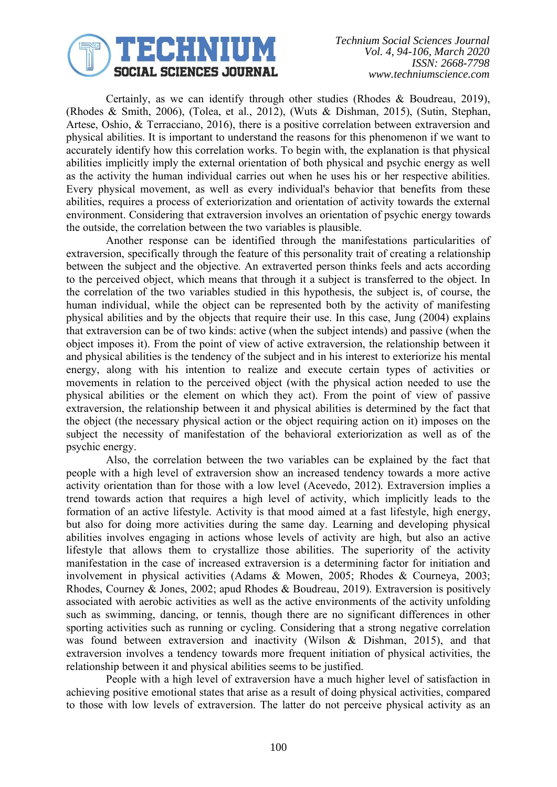

Certainly, as we can identify through other studies (Rhodes & Boudreau, 2019), (Rhodes & Smith, 2006), (Tolea, et al., 2012), (Wuts & Dishman, 2015), (Sutin, Stephan, Artese, Oshio, & Terracciano, 2016), there is a positive correlation between extraversion and physical abilities. It is important to understand the reasons for this phenomenon if we want to accurately identify how this correlation works. To begin with, the explanation is that physical abilities implicitly imply the external orientation of both physical and psychic energy as well as the activity the human individual carries out when he uses his or her respective abilities. Every physical movement, as well as every individual's behavior that benefits from these abilities, requires a process of exteriorization and orientation of activity towards the external environment. Considering that extraversion involves an orientation of psychic energy towards the outside, the correlation between the two variables is plausible.

Another response can be identified through the manifestations particularities of extraversion, specifically through the feature of this personality trait of creating a relationship between the subject and the objective. An extraverted person thinks feels and acts according to the perceived object, which means that through it a subject is transferred to the object. In the correlation of the two variables studied in this hypothesis, the subject is, of course, the human individual, while the object can be represented both by the activity of manifesting physical abilities and by the objects that require their use. In this case, Jung (2004) explains that extraversion can be of two kinds: active (when the subject intends) and passive (when the object imposes it). From the point of view of active extraversion, the relationship between it and physical abilities is the tendency of the subject and in his interest to exteriorize his mental energy, along with his intention to realize and execute certain types of activities or movements in relation to the perceived object (with the physical action needed to use the physical abilities or the element on which they act). From the point of view of passive extraversion, the relationship between it and physical abilities is determined by the fact that the object (the necessary physical action or the object requiring action on it) imposes on the subject the necessity of manifestation of the behavioral exteriorization as well as of the psychic energy.

Also, the correlation between the two variables can be explained by the fact that people with a high level of extraversion show an increased tendency towards a more active activity orientation than for those with a low level (Acevedo, 2012). Extraversion implies a trend towards action that requires a high level of activity, which implicitly leads to the formation of an active lifestyle. Activity is that mood aimed at a fast lifestyle, high energy, but also for doing more activities during the same day. Learning and developing physical abilities involves engaging in actions whose levels of activity are high, but also an active lifestyle that allows them to crystallize those abilities. The superiority of the activity manifestation in the case of increased extraversion is a determining factor for initiation and involvement in physical activities (Adams & Mowen, 2005; Rhodes & Courneya, 2003; Rhodes, Courney & Jones, 2002; apud Rhodes & Boudreau, 2019). Extraversion is positively associated with aerobic activities as well as the active environments of the activity unfolding such as swimming, dancing, or tennis, though there are no significant differences in other sporting activities such as running or cycling. Considering that a strong negative correlation was found between extraversion and inactivity (Wilson & Dishman, 2015), and that extraversion involves a tendency towards more frequent initiation of physical activities, the relationship between it and physical abilities seems to be justified.

People with a high level of extraversion have a much higher level of satisfaction in achieving positive emotional states that arise as a result of doing physical activities, compared to those with low levels of extraversion. The latter do not perceive physical activity as an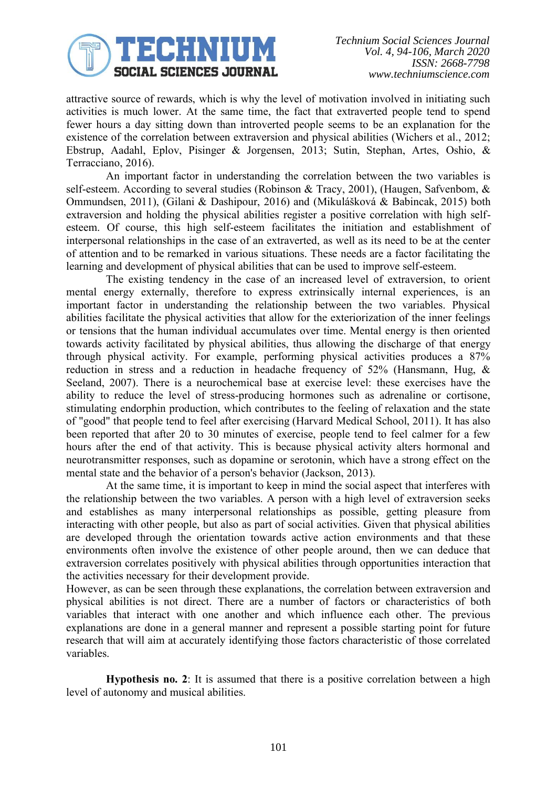

attractive source of rewards, which is why the level of motivation involved in initiating such activities is much lower. At the same time, the fact that extraverted people tend to spend fewer hours a day sitting down than introverted people seems to be an explanation for the existence of the correlation between extraversion and physical abilities (Wichers et al., 2012; Ebstrup, Aadahl, Eplov, Pisinger & Jorgensen, 2013; Sutin, Stephan, Artes, Oshio, & Terracciano, 2016).

An important factor in understanding the correlation between the two variables is self-esteem. According to several studies (Robinson & Tracy, 2001), (Haugen, Safvenbom, & Ommundsen, 2011), (Gilani & Dashipour, 2016) and (Mikulášková & Babincak, 2015) both extraversion and holding the physical abilities register a positive correlation with high selfesteem. Of course, this high self-esteem facilitates the initiation and establishment of interpersonal relationships in the case of an extraverted, as well as its need to be at the center of attention and to be remarked in various situations. These needs are a factor facilitating the learning and development of physical abilities that can be used to improve self-esteem.

The existing tendency in the case of an increased level of extraversion, to orient mental energy externally, therefore to express extrinsically internal experiences, is an important factor in understanding the relationship between the two variables. Physical abilities facilitate the physical activities that allow for the exteriorization of the inner feelings or tensions that the human individual accumulates over time. Mental energy is then oriented towards activity facilitated by physical abilities, thus allowing the discharge of that energy through physical activity. For example, performing physical activities produces a 87% reduction in stress and a reduction in headache frequency of 52% (Hansmann, Hug, & Seeland, 2007). There is a neurochemical base at exercise level: these exercises have the ability to reduce the level of stress-producing hormones such as adrenaline or cortisone, stimulating endorphin production, which contributes to the feeling of relaxation and the state of "good" that people tend to feel after exercising (Harvard Medical School, 2011). It has also been reported that after 20 to 30 minutes of exercise, people tend to feel calmer for a few hours after the end of that activity. This is because physical activity alters hormonal and neurotransmitter responses, such as dopamine or serotonin, which have a strong effect on the mental state and the behavior of a person's behavior (Jackson, 2013).

At the same time, it is important to keep in mind the social aspect that interferes with the relationship between the two variables. A person with a high level of extraversion seeks and establishes as many interpersonal relationships as possible, getting pleasure from interacting with other people, but also as part of social activities. Given that physical abilities are developed through the orientation towards active action environments and that these environments often involve the existence of other people around, then we can deduce that extraversion correlates positively with physical abilities through opportunities interaction that the activities necessary for their development provide.

However, as can be seen through these explanations, the correlation between extraversion and physical abilities is not direct. There are a number of factors or characteristics of both variables that interact with one another and which influence each other. The previous explanations are done in a general manner and represent a possible starting point for future research that will aim at accurately identifying those factors characteristic of those correlated variables.

**Hypothesis no. 2**: It is assumed that there is a positive correlation between a high level of autonomy and musical abilities.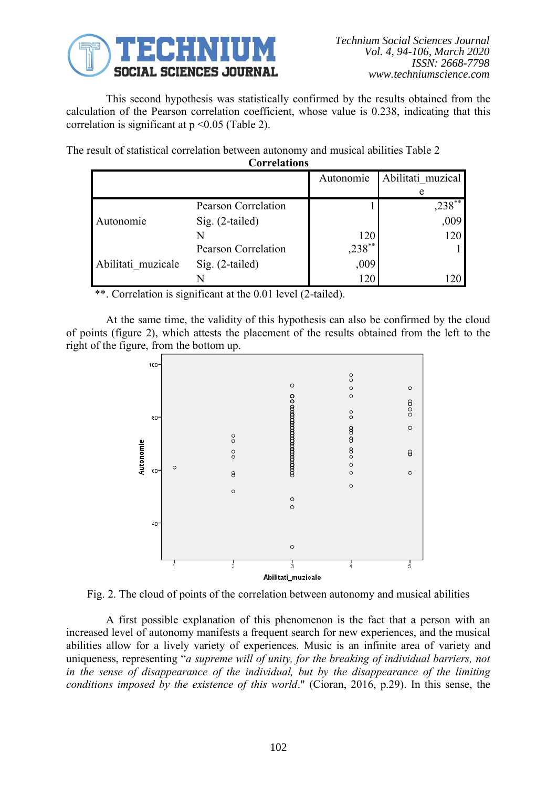

This second hypothesis was statistically confirmed by the results obtained from the calculation of the Pearson correlation coefficient, whose value is 0.238, indicating that this correlation is significant at  $p \le 0.05$  (Table 2).

The result of statistical correlation between autonomy and musical abilities Table 2 **Correlations**

| COLLEIAUOIIS       |                            |             |                   |  |
|--------------------|----------------------------|-------------|-------------------|--|
|                    |                            | Autonomie   | Abilitati muzical |  |
|                    |                            |             |                   |  |
| Autonomie          | <b>Pearson Correlation</b> |             | $238***$          |  |
|                    | Sig. (2-tailed)            |             | ,009              |  |
|                    |                            | 120         | 120               |  |
|                    | Pearson Correlation        | $,238^{**}$ |                   |  |
| Abilitati muzicale | Sig. (2-tailed)            | ,009        |                   |  |
|                    |                            | 120         |                   |  |

\*\*. Correlation is significant at the 0.01 level (2-tailed).

At the same time, the validity of this hypothesis can also be confirmed by the cloud of points (figure 2), which attests the placement of the results obtained from the left to the right of the figure, from the bottom up.



Fig. 2. The cloud of points of the correlation between autonomy and musical abilities

A first possible explanation of this phenomenon is the fact that a person with an increased level of autonomy manifests a frequent search for new experiences, and the musical abilities allow for a lively variety of experiences. Music is an infinite area of variety and uniqueness, representing "*a supreme will of unity, for the breaking of individual barriers, not in the sense of disappearance of the individual, but by the disappearance of the limiting conditions imposed by the existence of this world*." (Cioran, 2016, p.29). In this sense, the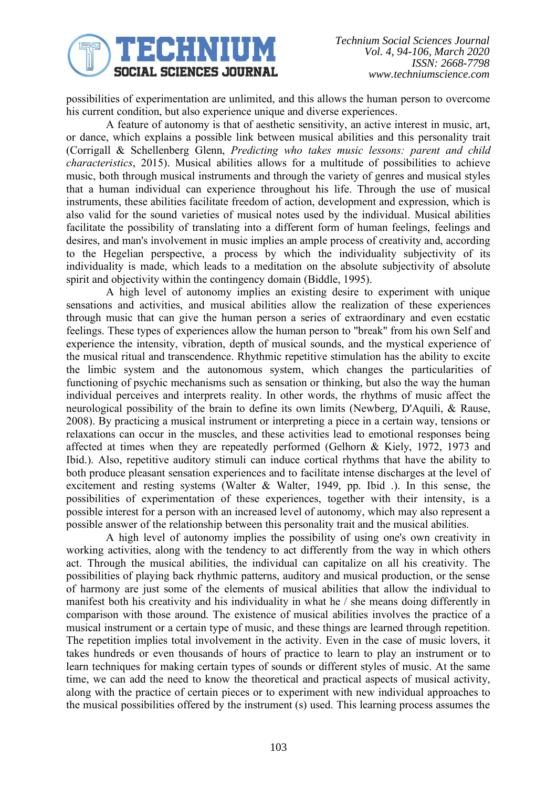

possibilities of experimentation are unlimited, and this allows the human person to overcome his current condition, but also experience unique and diverse experiences.

A feature of autonomy is that of aesthetic sensitivity, an active interest in music, art, or dance, which explains a possible link between musical abilities and this personality trait (Corrigall & Schellenberg Glenn, *Predicting who takes music lessons: parent and child characteristics*, 2015). Musical abilities allows for a multitude of possibilities to achieve music, both through musical instruments and through the variety of genres and musical styles that a human individual can experience throughout his life. Through the use of musical instruments, these abilities facilitate freedom of action, development and expression, which is also valid for the sound varieties of musical notes used by the individual. Musical abilities facilitate the possibility of translating into a different form of human feelings, feelings and desires, and man's involvement in music implies an ample process of creativity and, according to the Hegelian perspective, a process by which the individuality subjectivity of its individuality is made, which leads to a meditation on the absolute subjectivity of absolute spirit and objectivity within the contingency domain (Biddle, 1995).

A high level of autonomy implies an existing desire to experiment with unique sensations and activities, and musical abilities allow the realization of these experiences through music that can give the human person a series of extraordinary and even ecstatic feelings. These types of experiences allow the human person to "break" from his own Self and experience the intensity, vibration, depth of musical sounds, and the mystical experience of the musical ritual and transcendence. Rhythmic repetitive stimulation has the ability to excite the limbic system and the autonomous system, which changes the particularities of functioning of psychic mechanisms such as sensation or thinking, but also the way the human individual perceives and interprets reality. In other words, the rhythms of music affect the neurological possibility of the brain to define its own limits (Newberg, D'Aquili, & Rause, 2008). By practicing a musical instrument or interpreting a piece in a certain way, tensions or relaxations can occur in the muscles, and these activities lead to emotional responses being affected at times when they are repeatedly performed (Gelhorn & Kiely, 1972, 1973 and Ibid.). Also, repetitive auditory stimuli can induce cortical rhythms that have the ability to both produce pleasant sensation experiences and to facilitate intense discharges at the level of excitement and resting systems (Walter & Walter, 1949, pp. Ibid .). In this sense, the possibilities of experimentation of these experiences, together with their intensity, is a possible interest for a person with an increased level of autonomy, which may also represent a possible answer of the relationship between this personality trait and the musical abilities.

A high level of autonomy implies the possibility of using one's own creativity in working activities, along with the tendency to act differently from the way in which others act. Through the musical abilities, the individual can capitalize on all his creativity. The possibilities of playing back rhythmic patterns, auditory and musical production, or the sense of harmony are just some of the elements of musical abilities that allow the individual to manifest both his creativity and his individuality in what he / she means doing differently in comparison with those around. The existence of musical abilities involves the practice of a musical instrument or a certain type of music, and these things are learned through repetition. The repetition implies total involvement in the activity. Even in the case of music lovers, it takes hundreds or even thousands of hours of practice to learn to play an instrument or to learn techniques for making certain types of sounds or different styles of music. At the same time, we can add the need to know the theoretical and practical aspects of musical activity, along with the practice of certain pieces or to experiment with new individual approaches to the musical possibilities offered by the instrument (s) used. This learning process assumes the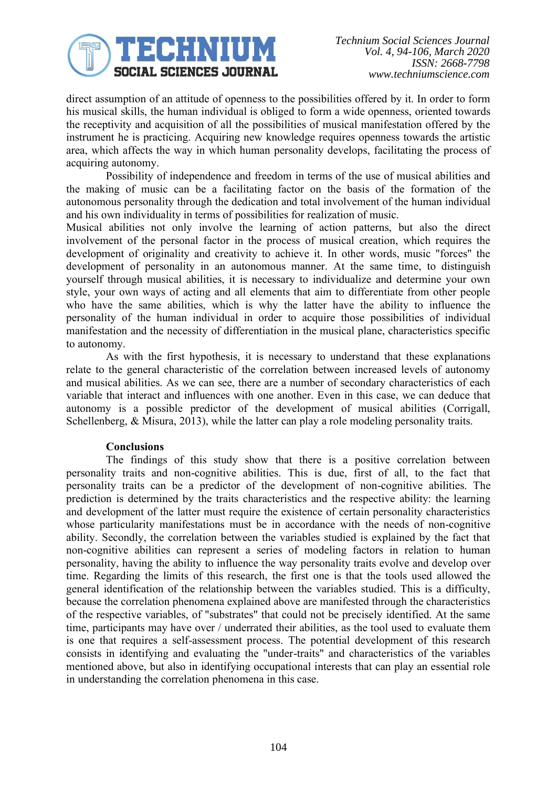

direct assumption of an attitude of openness to the possibilities offered by it. In order to form his musical skills, the human individual is obliged to form a wide openness, oriented towards the receptivity and acquisition of all the possibilities of musical manifestation offered by the instrument he is practicing. Acquiring new knowledge requires openness towards the artistic area, which affects the way in which human personality develops, facilitating the process of acquiring autonomy.

Possibility of independence and freedom in terms of the use of musical abilities and the making of music can be a facilitating factor on the basis of the formation of the autonomous personality through the dedication and total involvement of the human individual and his own individuality in terms of possibilities for realization of music.

Musical abilities not only involve the learning of action patterns, but also the direct involvement of the personal factor in the process of musical creation, which requires the development of originality and creativity to achieve it. In other words, music "forces" the development of personality in an autonomous manner. At the same time, to distinguish yourself through musical abilities, it is necessary to individualize and determine your own style, your own ways of acting and all elements that aim to differentiate from other people who have the same abilities, which is why the latter have the ability to influence the personality of the human individual in order to acquire those possibilities of individual manifestation and the necessity of differentiation in the musical plane, characteristics specific to autonomy.

As with the first hypothesis, it is necessary to understand that these explanations relate to the general characteristic of the correlation between increased levels of autonomy and musical abilities. As we can see, there are a number of secondary characteristics of each variable that interact and influences with one another. Even in this case, we can deduce that autonomy is a possible predictor of the development of musical abilities (Corrigall, Schellenberg, & Misura, 2013), while the latter can play a role modeling personality traits.

## **Conclusions**

The findings of this study show that there is a positive correlation between personality traits and non-cognitive abilities. This is due, first of all, to the fact that personality traits can be a predictor of the development of non-cognitive abilities. The prediction is determined by the traits characteristics and the respective ability: the learning and development of the latter must require the existence of certain personality characteristics whose particularity manifestations must be in accordance with the needs of non-cognitive ability. Secondly, the correlation between the variables studied is explained by the fact that non-cognitive abilities can represent a series of modeling factors in relation to human personality, having the ability to influence the way personality traits evolve and develop over time. Regarding the limits of this research, the first one is that the tools used allowed the general identification of the relationship between the variables studied. This is a difficulty, because the correlation phenomena explained above are manifested through the characteristics of the respective variables, of "substrates" that could not be precisely identified. At the same time, participants may have over / underrated their abilities, as the tool used to evaluate them is one that requires a self-assessment process. The potential development of this research consists in identifying and evaluating the "under-traits" and characteristics of the variables mentioned above, but also in identifying occupational interests that can play an essential role in understanding the correlation phenomena in this case.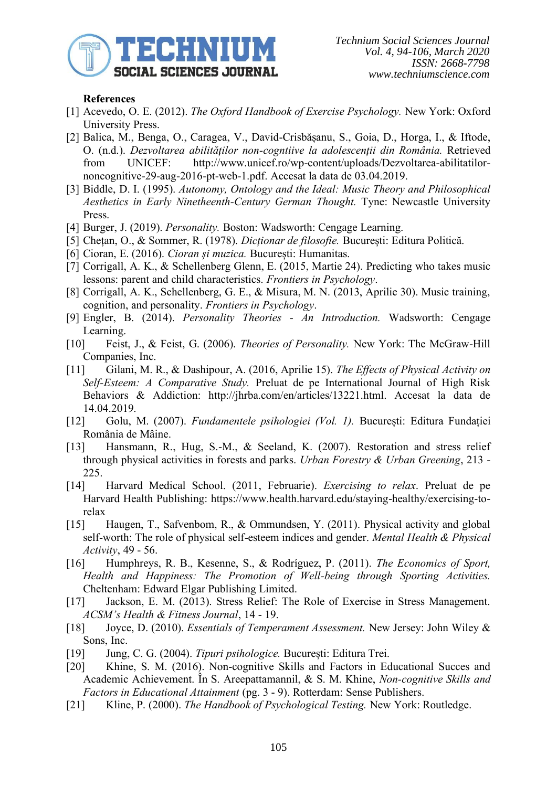

# **References**

- [1] Acevedo, O. E. (2012). *The Oxford Handbook of Exercise Psychology.* New York: Oxford University Press.
- [2] Balica, M., Benga, O., Caragea, V., David-Crisbășanu, S., Goia, D., Horga, I., & Iftode, O. (n.d.). *Dezvoltarea abilităților non-cogntiive la adolescenții din România.* Retrieved from UNICEF: http://www.unicef.ro/wp-content/uploads/Dezvoltarea-abilitatilornoncognitive-29-aug-2016-pt-web-1.pdf. Accesat la data de 03.04.2019.
- [3] Biddle, D. I. (1995). *Autonomy, Ontology and the Ideal: Music Theory and Philosophical Aesthetics in Early Ninetheenth-Century German Thought.* Tyne: Newcastle University Press.
- [4] Burger, J. (2019). *Personality.* Boston: Wadsworth: Cengage Learning.
- [5] Chețan, O., & Sommer, R. (1978). *Dicționar de filosofie.* București: Editura Politică.
- [6] Cioran, E. (2016). *Cioran și muzica.* București: Humanitas.
- [7] Corrigall, A. K., & Schellenberg Glenn, E. (2015, Martie 24). Predicting who takes music lessons: parent and child characteristics. *Frontiers in Psychology*.
- [8] Corrigall, A. K., Schellenberg, G. E., & Misura, M. N. (2013, Aprilie 30). Music training, cognition, and personality. *Frontiers in Psychology*.
- [9] Engler, B. (2014). *Personality Theories - An Introduction.* Wadsworth: Cengage Learning.
- [10] Feist, J., & Feist, G. (2006). *Theories of Personality.* New York: The McGraw-Hill Companies, Inc.
- [11] Gilani, M. R., & Dashipour, A. (2016, Aprilie 15). *The Effects of Physical Activity on Self-Esteem: A Comparative Study.* Preluat de pe International Journal of High Risk Behaviors & Addiction: http://jhrba.com/en/articles/13221.html. Accesat la data de 14.04.2019.
- [12] Golu, M. (2007). *Fundamentele psihologiei (Vol. 1).* București: Editura Fundației România de Mâine.
- [13] Hansmann, R., Hug, S.-M., & Seeland, K. (2007). Restoration and stress relief through physical activities in forests and parks. *Urban Forestry & Urban Greening*, 213 - 225.
- [14] Harvard Medical School. (2011, Februarie). *Exercising to relax*. Preluat de pe Harvard Health Publishing: https://www.health.harvard.edu/staying-healthy/exercising-torelax
- [15] Haugen, T., Safvenbom, R., & Ommundsen, Y. (2011). Physical activity and global self-worth: The role of physical self-esteem indices and gender. *Mental Health & Physical Activity*, 49 - 56.
- [16] Humphreys, R. B., Kesenne, S., & Rodríguez, P. (2011). *The Economics of Sport, Health and Happiness: The Promotion of Well-being through Sporting Activities.* Cheltenham: Edward Elgar Publishing Limited.
- [17] Jackson, E. M. (2013). Stress Relief: The Role of Exercise in Stress Management. *ACSM's Health & Fitness Journal*, 14 - 19.
- [18] Joyce, D. (2010). *Essentials of Temperament Assessment.* New Jersey: John Wiley & Sons, Inc.
- [19] Jung, C. G. (2004). *Tipuri psihologice.* București: Editura Trei.
- [20] Khine, S. M. (2016). Non-cognitive Skills and Factors in Educational Succes and Academic Achievement. În S. Areepattamannil, & S. M. Khine, *Non-cognitive Skills and Factors in Educational Attainment* (pg. 3 - 9). Rotterdam: Sense Publishers.
- [21] Kline, P. (2000). *The Handbook of Psychological Testing.* New York: Routledge.